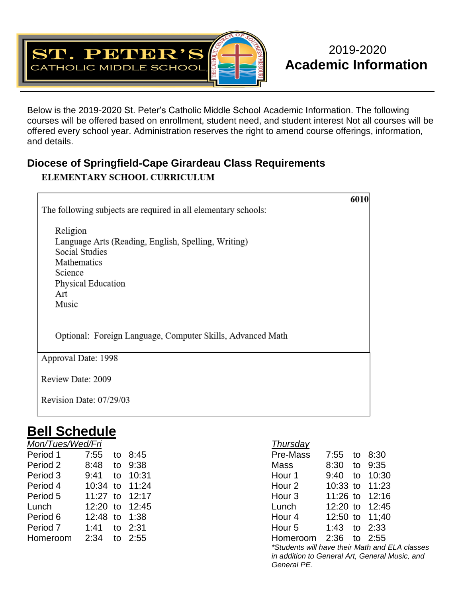

## 2019-2020 **Academic Information**

Below is the 2019-2020 St. Peter's Catholic Middle School Academic Information. The following courses will be offered based on enrollment, student need, and student interest Not all courses will be offered every school year. Administration reserves the right to amend course offerings, information, and details.

## **Diocese of Springfield-Cape Girardeau Class Requirements** ELEMENTARY SCHOOL CURRICULUM

| The following subjects are required in all elementary schools:                                                                                    | 6010 |
|---------------------------------------------------------------------------------------------------------------------------------------------------|------|
| Religion<br>Language Arts (Reading, English, Spelling, Writing)<br>Social Studies<br>Mathematics<br>Science<br>Physical Education<br>Art<br>Music |      |
| Optional: Foreign Language, Computer Skills, Advanced Math                                                                                        |      |
| Approval Date: 1998                                                                                                                               |      |
| Review Date: 2009                                                                                                                                 |      |
| Revision Date: 07/29/03                                                                                                                           |      |

## **Bell Schedule**

| Mon/Tues/Wed/Fri |                |           | Thursday |               |  |
|------------------|----------------|-----------|----------|---------------|--|
| Period 1         | 7:55           | to $8:45$ | Pre-Mass | 7:55 to 8:30  |  |
| Period 2         | 8:48           | to 9:38   | Mass     | 8:30 to 9:35  |  |
| Period 3         | 9:41 to 10:31  |           | Hour 1   | 9:40 to 10:3  |  |
| Period 4         | 10:34 to 11:24 |           | Hour 2   | 10:33 to 11:2 |  |
| Period 5         | 11:27 to 12:17 |           | Hour 3   | 11:26 to 12:1 |  |
| Lunch            | 12:20 to 12:45 |           | Lunch    | 12:20 to 12:4 |  |
| Period 6         | 12:48 to 1:38  |           | Hour 4   | 12:50 to 11:4 |  |
| Period 7         | 1:41 to 2:31   |           | Hour 5   | 1:43 to 2:33  |  |
| Homeroom         | 2:34           | to 2:55   | Homeroom | 2:36 to 2:55  |  |
|                  |                |           |          |               |  |

| Mon/Tues/Wed/Fri |               |    |                | Thursday                                                                                         |              |    |                |
|------------------|---------------|----|----------------|--------------------------------------------------------------------------------------------------|--------------|----|----------------|
| Period 1         | 7:55          | to | 8:45           | Pre-Mass                                                                                         | 7:55         | to | 8:30           |
| Period 2         | 8:48          |    | to 9:38        | Mass                                                                                             | 8:30         | to | 9:35           |
| Period 3         | 9:41          |    | to 10:31       | Hour 1                                                                                           | 9:40         | to | 10:30          |
| Period 4         |               |    | 10:34 to 11:24 | Hour 2                                                                                           |              |    | 10:33 to 11:23 |
| Period 5         |               |    | 11:27 to 12:17 | Hour 3                                                                                           |              |    | 11:26 to 12:16 |
| Lunch            |               |    | 12:20 to 12:45 | Lunch                                                                                            |              |    | 12:20 to 12:45 |
| Period 6         | 12:48 to 1:38 |    |                | Hour 4                                                                                           |              |    | 12:50 to 11:40 |
| Period 7         | 1:41          |    | to 2:31        | Hour 5                                                                                           | 1:43 to 2:33 |    |                |
| Homeroom         | 2:34          |    | to 2:55        | Homeroom                                                                                         | 2:36 to 2:55 |    |                |
|                  |               |    |                | *Students will have their Math and ELA classes<br>in addition to General Art, General Music, and |              |    |                |

*General PE.*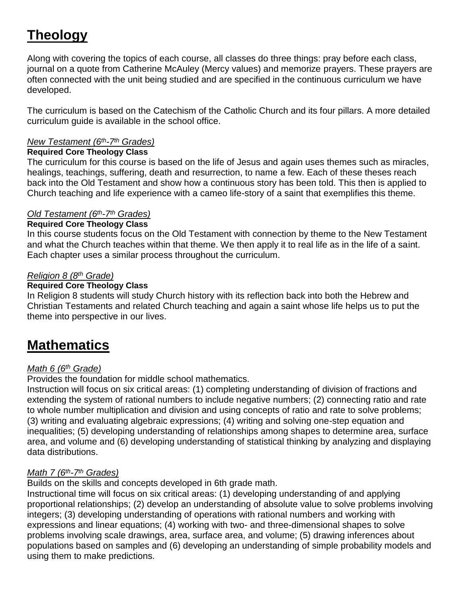# **Theology**

Along with covering the topics of each course, all classes do three things: pray before each class, journal on a quote from Catherine McAuley (Mercy values) and memorize prayers. These prayers are often connected with the unit being studied and are specified in the continuous curriculum we have developed.

The curriculum is based on the Catechism of the Catholic Church and its four pillars. A more detailed curriculum guide is available in the school office.

#### *New Testament (6th-7 th Grades)*

#### **Required Core Theology Class**

The curriculum for this course is based on the life of Jesus and again uses themes such as miracles, healings, teachings, suffering, death and resurrection, to name a few. Each of these theses reach back into the Old Testament and show how a continuous story has been told. This then is applied to Church teaching and life experience with a cameo life-story of a saint that exemplifies this theme.

## *Old Testament (6th-7 th Grades)*

### **Required Core Theology Class**

In this course students focus on the Old Testament with connection by theme to the New Testament and what the Church teaches within that theme. We then apply it to real life as in the life of a saint. Each chapter uses a similar process throughout the curriculum.

### *Religion 8 (8th Grade)*

### **Required Core Theology Class**

In Religion 8 students will study Church history with its reflection back into both the Hebrew and Christian Testaments and related Church teaching and again a saint whose life helps us to put the theme into perspective in our lives.

## **Mathematics**

## *Math 6 (6th Grade)*

Provides the foundation for middle school mathematics.

Instruction will focus on six critical areas: (1) completing understanding of division of fractions and extending the system of rational numbers to include negative numbers; (2) connecting ratio and rate to whole number multiplication and division and using concepts of ratio and rate to solve problems; (3) writing and evaluating algebraic expressions; (4) writing and solving one-step equation and inequalities; (5) developing understanding of relationships among shapes to determine area, surface area, and volume and (6) developing understanding of statistical thinking by analyzing and displaying data distributions.

## *Math 7 (6th-7 th Grades)*

Builds on the skills and concepts developed in 6th grade math.

Instructional time will focus on six critical areas: (1) developing understanding of and applying proportional relationships; (2) develop an understanding of absolute value to solve problems involving integers; (3) developing understanding of operations with rational numbers and working with expressions and linear equations; (4) working with two- and three-dimensional shapes to solve problems involving scale drawings, area, surface area, and volume; (5) drawing inferences about populations based on samples and (6) developing an understanding of simple probability models and using them to make predictions.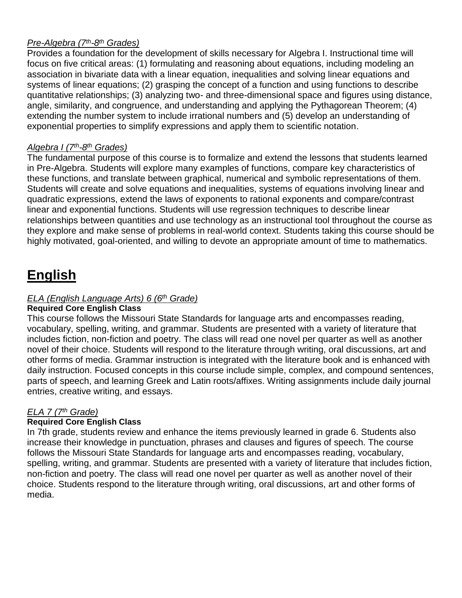## *Pre-Algebra (7th-8 th Grades)*

Provides a foundation for the development of skills necessary for Algebra I. Instructional time will focus on five critical areas: (1) formulating and reasoning about equations, including modeling an association in bivariate data with a linear equation, inequalities and solving linear equations and systems of linear equations; (2) grasping the concept of a function and using functions to describe quantitative relationships; (3) analyzing two- and three-dimensional space and figures using distance, angle, similarity, and congruence, and understanding and applying the Pythagorean Theorem; (4) extending the number system to include irrational numbers and (5) develop an understanding of exponential properties to simplify expressions and apply them to scientific notation.

## *Algebra I (7th-8 th Grades)*

The fundamental purpose of this course is to formalize and extend the lessons that students learned in Pre-Algebra. Students will explore many examples of functions, compare key characteristics of these functions, and translate between graphical, numerical and symbolic representations of them. Students will create and solve equations and inequalities, systems of equations involving linear and quadratic expressions, extend the laws of exponents to rational exponents and compare/contrast linear and exponential functions. Students will use regression techniques to describe linear relationships between quantities and use technology as an instructional tool throughout the course as they explore and make sense of problems in real-world context. Students taking this course should be highly motivated, goal-oriented, and willing to devote an appropriate amount of time to mathematics.

# **English**

## *ELA (English Language Arts) 6 (6th Grade)*

#### **Required Core English Class**

This course follows the Missouri State Standards for language arts and encompasses reading, vocabulary, spelling, writing, and grammar. Students are presented with a variety of literature that includes fiction, non-fiction and poetry. The class will read one novel per quarter as well as another novel of their choice. Students will respond to the literature through writing, oral discussions, art and other forms of media. Grammar instruction is integrated with the literature book and is enhanced with daily instruction. Focused concepts in this course include simple, complex, and compound sentences, parts of speech, and learning Greek and Latin roots/affixes. Writing assignments include daily journal entries, creative writing, and essays.

## *ELA 7 (7th Grade)*

## **Required Core English Class**

In 7th grade, students review and enhance the items previously learned in grade 6. Students also increase their knowledge in punctuation, phrases and clauses and figures of speech. The course follows the Missouri State Standards for language arts and encompasses reading, vocabulary, spelling, writing, and grammar. Students are presented with a variety of literature that includes fiction, non-fiction and poetry. The class will read one novel per quarter as well as another novel of their choice. Students respond to the literature through writing, oral discussions, art and other forms of media.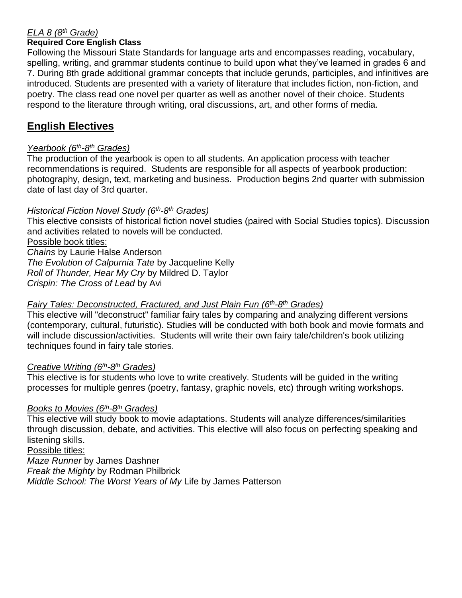## *ELA 8 (8th Grade)*

#### **Required Core English Class**

Following the Missouri State Standards for language arts and encompasses reading, vocabulary, spelling, writing, and grammar students continue to build upon what they've learned in grades 6 and 7. During 8th grade additional grammar concepts that include gerunds, participles, and infinitives are introduced. Students are presented with a variety of literature that includes fiction, non-fiction, and poetry. The class read one novel per quarter as well as another novel of their choice. Students respond to the literature through writing, oral discussions, art, and other forms of media.

## **English Electives**

### *Yearbook (6th-8 th Grades)*

The production of the yearbook is open to all students. An application process with teacher recommendations is required. Students are responsible for all aspects of yearbook production: photography, design, text, marketing and business. Production begins 2nd quarter with submission date of last day of 3rd quarter.

#### *Historical Fiction Novel Study (6 th-8 th Grades)*

This elective consists of historical fiction novel studies (paired with Social Studies topics). Discussion and activities related to novels will be conducted. Possible book titles: *Chains* by Laurie Halse Anderson *The Evolution of Calpurnia Tate* by Jacqueline Kelly

*Roll of Thunder, Hear My Cry* by Mildred D. Taylor

*Crispin: The Cross of Lead* by Avi

#### *Fairy Tales: Deconstructed, Fractured, and Just Plain Fun (6th-8 th Grades)*

This elective will "deconstruct" familiar fairy tales by comparing and analyzing different versions (contemporary, cultural, futuristic). Studies will be conducted with both book and movie formats and will include discussion/activities. Students will write their own fairy tale/children's book utilizing techniques found in fairy tale stories.

#### *Creative Writing (6th-8 th Grades)*

This elective is for students who love to write creatively. Students will be guided in the writing processes for multiple genres (poetry, fantasy, graphic novels, etc) through writing workshops.

#### *Books to Movies (6th-8 th Grades)*

This elective will study book to movie adaptations. Students will analyze differences/similarities through discussion, debate, and activities. This elective will also focus on perfecting speaking and listening skills.

Possible titles:

*Maze Runner* by James Dashner *Freak the Mighty* by Rodman Philbrick *Middle School: The Worst Years of My* Life by James Patterson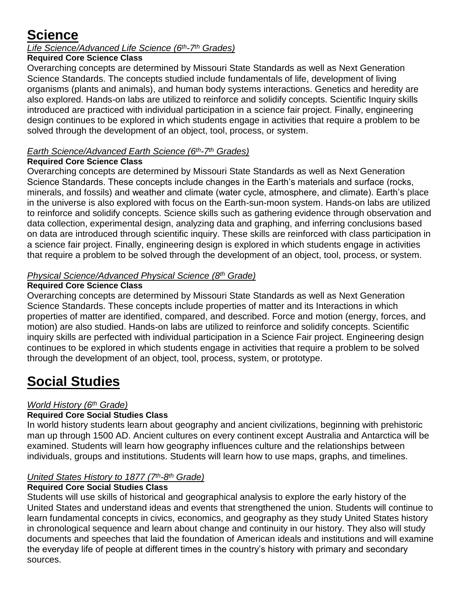## **Science**

## *Life Science/Advanced Life Science (6th-7 th Grades)*

## **Required Core Science Class**

Overarching concepts are determined by Missouri State Standards as well as Next Generation Science Standards. The concepts studied include fundamentals of life, development of living organisms (plants and animals), and human body systems interactions. Genetics and heredity are also explored. Hands-on labs are utilized to reinforce and solidify concepts. Scientific Inquiry skills introduced are practiced with individual participation in a science fair project. Finally, engineering design continues to be explored in which students engage in activities that require a problem to be solved through the development of an object, tool, process, or system.

## *Earth Science/Advanced Earth Science (6th-7 th Grades)*

## **Required Core Science Class**

Overarching concepts are determined by Missouri State Standards as well as Next Generation Science Standards. These concepts include changes in the Earth's materials and surface (rocks, minerals, and fossils) and weather and climate (water cycle, atmosphere, and climate). Earth's place in the universe is also explored with focus on the Earth-sun-moon system. Hands-on labs are utilized to reinforce and solidify concepts. Science skills such as gathering evidence through observation and data collection, experimental design, analyzing data and graphing, and inferring conclusions based on data are introduced through scientific inquiry. These skills are reinforced with class participation in a science fair project. Finally, engineering design is explored in which students engage in activities that require a problem to be solved through the development of an object, tool, process, or system.

## *Physical Science/Advanced Physical Science (8th Grade)*

## **Required Core Science Class**

Overarching concepts are determined by Missouri State Standards as well as Next Generation Science Standards. These concepts include properties of matter and its Interactions in which properties of matter are identified, compared, and described. Force and motion (energy, forces, and motion) are also studied. Hands-on labs are utilized to reinforce and solidify concepts. Scientific inquiry skills are perfected with individual participation in a Science Fair project. Engineering design continues to be explored in which students engage in activities that require a problem to be solved through the development of an object, tool, process, system, or prototype.

# **Social Studies**

## *World History (6th Grade)*

## **Required Core Social Studies Class**

In world history students learn about geography and ancient civilizations, beginning with prehistoric man up through 1500 AD. Ancient cultures on every continent except Australia and Antarctica will be examined. Students will learn how geography influences culture and the relationships between individuals, groups and institutions. Students will learn how to use maps, graphs, and timelines.

## *United States History to 1877 (7 th-8 th Grade)*

## **Required Core Social Studies Class**

Students will use skills of historical and geographical analysis to explore the early history of the United States and understand ideas and events that strengthened the union. Students will continue to learn fundamental concepts in civics, economics, and geography as they study United States history in chronological sequence and learn about change and continuity in our history. They also will study documents and speeches that laid the foundation of American ideals and institutions and will examine the everyday life of people at different times in the country's history with primary and secondary sources.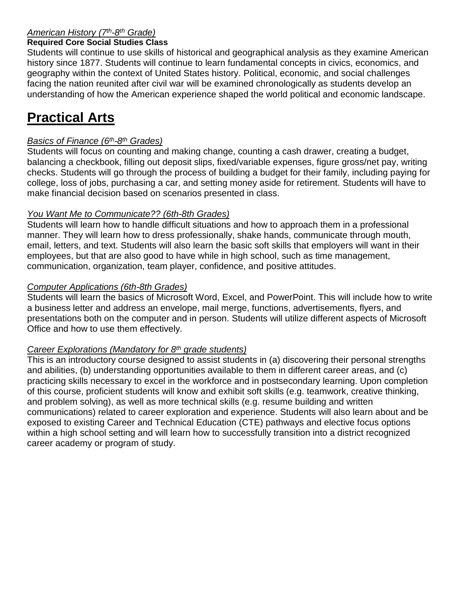## *American History (7th-8 th Grade)*

#### **Required Core Social Studies Class**

Students will continue to use skills of historical and geographical analysis as they examine American history since 1877. Students will continue to learn fundamental concepts in civics, economics, and geography within the context of United States history. Political, economic, and social challenges facing the nation reunited after civil war will be examined chronologically as students develop an understanding of how the American experience shaped the world political and economic landscape.

## **Practical Arts**

## *Basics of Finance (6th-8 th Grades)*

Students will focus on counting and making change, counting a cash drawer, creating a budget, balancing a checkbook, filling out deposit slips, fixed/variable expenses, figure gross/net pay, writing checks. Students will go through the process of building a budget for their family, including paying for college, loss of jobs, purchasing a car, and setting money aside for retirement. Students will have to make financial decision based on scenarios presented in class.

## *You Want Me to Communicate?? (6th-8th Grades)*

Students will learn how to handle difficult situations and how to approach them in a professional manner. They will learn how to dress professionally, shake hands, communicate through mouth, email, letters, and text. Students will also learn the basic soft skills that employers will want in their employees, but that are also good to have while in high school, such as time management, communication, organization, team player, confidence, and positive attitudes.

### *Computer Applications (6th-8th Grades)*

Students will learn the basics of Microsoft Word, Excel, and PowerPoint. This will include how to write a business letter and address an envelope, mail merge, functions, advertisements, flyers, and presentations both on the computer and in person. Students will utilize different aspects of Microsoft Office and how to use them effectively.

## *Career Explorations (Mandatory for 8th grade students)*

This is an introductory course designed to assist students in (a) discovering their personal strengths and abilities, (b) understanding opportunities available to them in different career areas, and (c) practicing skills necessary to excel in the workforce and in postsecondary learning. Upon completion of this course, proficient students will know and exhibit soft skills (e.g. teamwork, creative thinking, and problem solving), as well as more technical skills (e.g. resume building and written communications) related to career exploration and experience. Students will also learn about and be exposed to existing Career and Technical Education (CTE) pathways and elective focus options within a high school setting and will learn how to successfully transition into a district recognized career academy or program of study.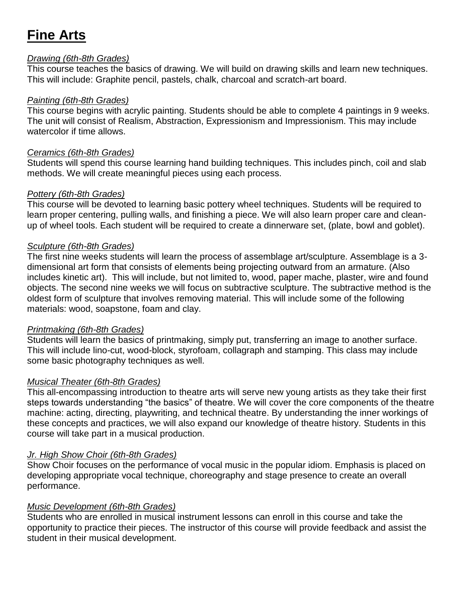# **Fine Arts**

#### *Drawing (6th-8th Grades)*

This course teaches the basics of drawing. We will build on drawing skills and learn new techniques. This will include: Graphite pencil, pastels, chalk, charcoal and scratch-art board.

### *Painting (6th-8th Grades)*

This course begins with acrylic painting. Students should be able to complete 4 paintings in 9 weeks. The unit will consist of Realism, Abstraction, Expressionism and Impressionism. This may include watercolor if time allows.

### *Ceramics (6th-8th Grades)*

Students will spend this course learning hand building techniques. This includes pinch, coil and slab methods. We will create meaningful pieces using each process.

### *Pottery (6th-8th Grades)*

This course will be devoted to learning basic pottery wheel techniques. Students will be required to learn proper centering, pulling walls, and finishing a piece. We will also learn proper care and cleanup of wheel tools. Each student will be required to create a dinnerware set, (plate, bowl and goblet).

### *Sculpture (6th-8th Grades)*

The first nine weeks students will learn the process of assemblage art/sculpture. Assemblage is a 3 dimensional art form that consists of elements being projecting outward from an armature. (Also includes kinetic art). This will include, but not limited to, wood, paper mache, plaster, wire and found objects. The second nine weeks we will focus on subtractive sculpture. The subtractive method is the oldest form of sculpture that involves removing material. This will include some of the following materials: wood, soapstone, foam and clay.

#### *Printmaking (6th-8th Grades)*

Students will learn the basics of printmaking, simply put, transferring an image to another surface. This will include lino-cut, wood-block, styrofoam, collagraph and stamping. This class may include some basic photography techniques as well.

## *Musical Theater (6th-8th Grades)*

This all-encompassing introduction to theatre arts will serve new young artists as they take their first steps towards understanding "the basics" of theatre. We will cover the core components of the theatre machine: acting, directing, playwriting, and technical theatre. By understanding the inner workings of these concepts and practices, we will also expand our knowledge of theatre history. Students in this course will take part in a musical production.

## *Jr. High Show Choir (6th-8th Grades)*

Show Choir focuses on the performance of vocal music in the popular idiom. Emphasis is placed on developing appropriate vocal technique, choreography and stage presence to create an overall performance.

## *Music Development (6th-8th Grades)*

Students who are enrolled in musical instrument lessons can enroll in this course and take the opportunity to practice their pieces. The instructor of this course will provide feedback and assist the student in their musical development.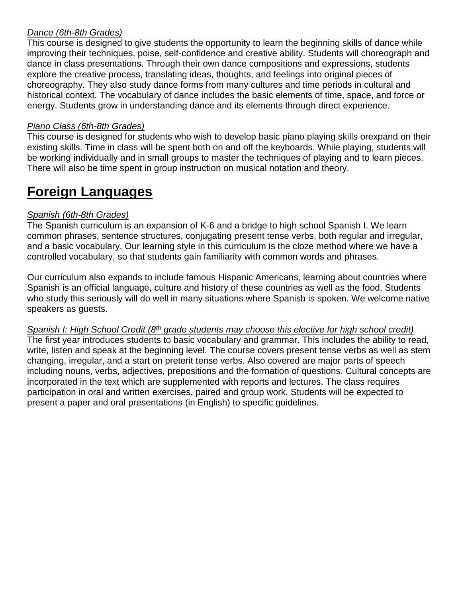## *Dance (6th-8th Grades)*

This course is designed to give students the opportunity to learn the beginning skills of dance while improving their techniques, poise, self-confidence and creative ability. Students will choreograph and dance in class presentations. Through their own dance compositions and expressions, students explore the creative process, translating ideas, thoughts, and feelings into original pieces of choreography. They also study dance forms from many cultures and time periods in cultural and historical context. The vocabulary of dance includes the basic elements of time, space, and force or energy. Students grow in understanding dance and its elements through direct experience.

## *Piano Class (6th-8th Grades)*

This course is designed for students who wish to develop basic piano playing skills orexpand on their existing skills. Time in class will be spent both on and off the keyboards. While playing, students will be working individually and in small groups to master the techniques of playing and to learn pieces. There will also be time spent in group instruction on musical notation and theory.

## **Foreign Languages**

## *Spanish (6th-8th Grades)*

The Spanish curriculum is an expansion of K-6 and a bridge to high school Spanish I. We learn common phrases, sentence structures, conjugating present tense verbs, both regular and irregular, and a basic vocabulary. Our learning style in this curriculum is the cloze method where we have a controlled vocabulary, so that students gain familiarity with common words and phrases.

Our curriculum also expands to include famous Hispanic Americans, learning about countries where Spanish is an official language, culture and history of these countries as well as the food. Students who study this seriously will do well in many situations where Spanish is spoken. We welcome native speakers as guests.

## *Spanish I: High School Credit (8th grade students may choose this elective for high school credit)*

The first year introduces students to basic vocabulary and grammar. This includes the ability to read, write, listen and speak at the beginning level. The course covers present tense verbs as well as stem changing, irregular, and a start on preterit tense verbs. Also covered are major parts of speech including nouns, verbs, adjectives, prepositions and the formation of questions. Cultural concepts are incorporated in the text which are supplemented with reports and lectures. The class requires participation in oral and written exercises, paired and group work. Students will be expected to present a paper and oral presentations (in English) to specific guidelines.